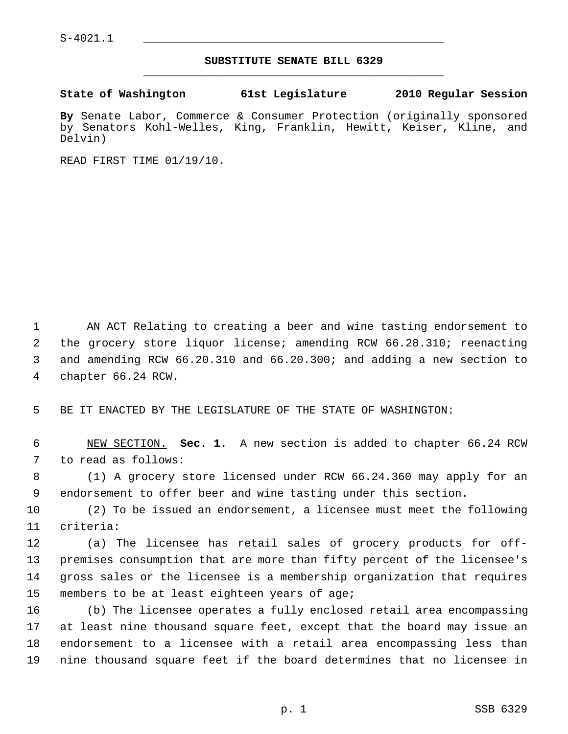## **SUBSTITUTE SENATE BILL 6329** \_\_\_\_\_\_\_\_\_\_\_\_\_\_\_\_\_\_\_\_\_\_\_\_\_\_\_\_\_\_\_\_\_\_\_\_\_\_\_\_\_\_\_\_\_

**State of Washington 61st Legislature 2010 Regular Session**

**By** Senate Labor, Commerce & Consumer Protection (originally sponsored by Senators Kohl-Welles, King, Franklin, Hewitt, Keiser, Kline, and Delvin)

READ FIRST TIME 01/19/10.

 1 AN ACT Relating to creating a beer and wine tasting endorsement to 2 the grocery store liquor license; amending RCW 66.28.310; reenacting 3 and amending RCW 66.20.310 and 66.20.300; and adding a new section to 4 chapter 66.24 RCW.

5 BE IT ENACTED BY THE LEGISLATURE OF THE STATE OF WASHINGTON:

 6 NEW SECTION. **Sec. 1.** A new section is added to chapter 66.24 RCW 7 to read as follows:

 8 (1) A grocery store licensed under RCW 66.24.360 may apply for an 9 endorsement to offer beer and wine tasting under this section.

10 (2) To be issued an endorsement, a licensee must meet the following 11 criteria:

12 (a) The licensee has retail sales of grocery products for off-13 premises consumption that are more than fifty percent of the licensee's 14 gross sales or the licensee is a membership organization that requires 15 members to be at least eighteen years of age;

16 (b) The licensee operates a fully enclosed retail area encompassing 17 at least nine thousand square feet, except that the board may issue an 18 endorsement to a licensee with a retail area encompassing less than 19 nine thousand square feet if the board determines that no licensee in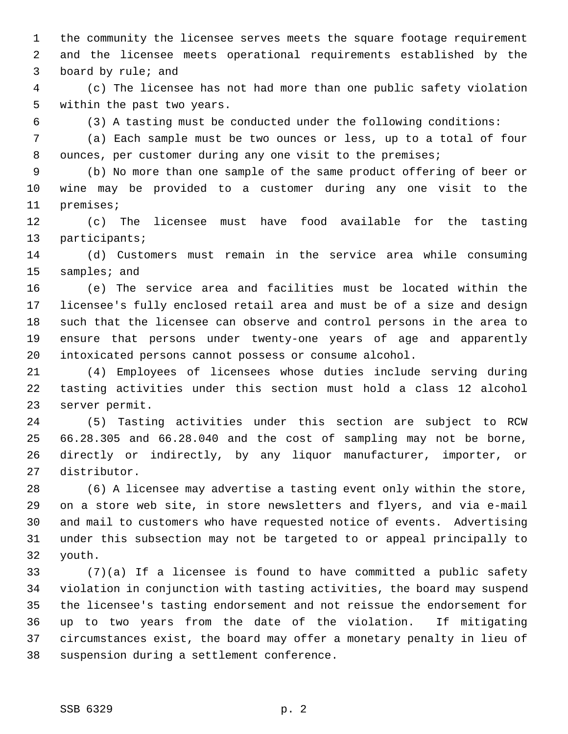1 the community the licensee serves meets the square footage requirement 2 and the licensee meets operational requirements established by the 3 board by rule; and

 4 (c) The licensee has not had more than one public safety violation 5 within the past two years.

6 (3) A tasting must be conducted under the following conditions:

 7 (a) Each sample must be two ounces or less, up to a total of four 8 ounces, per customer during any one visit to the premises;

 9 (b) No more than one sample of the same product offering of beer or 10 wine may be provided to a customer during any one visit to the 11 premises;

12 (c) The licensee must have food available for the tasting 13 participants;

14 (d) Customers must remain in the service area while consuming 15 samples; and

16 (e) The service area and facilities must be located within the 17 licensee's fully enclosed retail area and must be of a size and design 18 such that the licensee can observe and control persons in the area to 19 ensure that persons under twenty-one years of age and apparently 20 intoxicated persons cannot possess or consume alcohol.

21 (4) Employees of licensees whose duties include serving during 22 tasting activities under this section must hold a class 12 alcohol 23 server permit.

24 (5) Tasting activities under this section are subject to RCW 25 66.28.305 and 66.28.040 and the cost of sampling may not be borne, 26 directly or indirectly, by any liquor manufacturer, importer, or 27 distributor.

28 (6) A licensee may advertise a tasting event only within the store, 29 on a store web site, in store newsletters and flyers, and via e-mail 30 and mail to customers who have requested notice of events. Advertising 31 under this subsection may not be targeted to or appeal principally to 32 youth.

33 (7)(a) If a licensee is found to have committed a public safety 34 violation in conjunction with tasting activities, the board may suspend 35 the licensee's tasting endorsement and not reissue the endorsement for 36 up to two years from the date of the violation. If mitigating 37 circumstances exist, the board may offer a monetary penalty in lieu of 38 suspension during a settlement conference.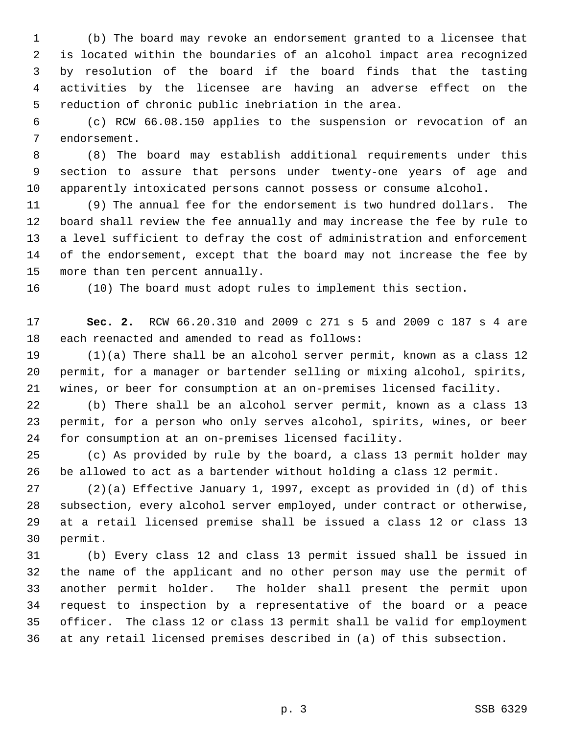1 (b) The board may revoke an endorsement granted to a licensee that 2 is located within the boundaries of an alcohol impact area recognized 3 by resolution of the board if the board finds that the tasting 4 activities by the licensee are having an adverse effect on the 5 reduction of chronic public inebriation in the area.

 6 (c) RCW 66.08.150 applies to the suspension or revocation of an 7 endorsement.

 8 (8) The board may establish additional requirements under this 9 section to assure that persons under twenty-one years of age and 10 apparently intoxicated persons cannot possess or consume alcohol.

11 (9) The annual fee for the endorsement is two hundred dollars. The 12 board shall review the fee annually and may increase the fee by rule to 13 a level sufficient to defray the cost of administration and enforcement 14 of the endorsement, except that the board may not increase the fee by 15 more than ten percent annually.

16 (10) The board must adopt rules to implement this section.

17 **Sec. 2.** RCW 66.20.310 and 2009 c 271 s 5 and 2009 c 187 s 4 are 18 each reenacted and amended to read as follows:

19 (1)(a) There shall be an alcohol server permit, known as a class 12 20 permit, for a manager or bartender selling or mixing alcohol, spirits, 21 wines, or beer for consumption at an on-premises licensed facility.

22 (b) There shall be an alcohol server permit, known as a class 13 23 permit, for a person who only serves alcohol, spirits, wines, or beer 24 for consumption at an on-premises licensed facility.

25 (c) As provided by rule by the board, a class 13 permit holder may 26 be allowed to act as a bartender without holding a class 12 permit.

27 (2)(a) Effective January 1, 1997, except as provided in (d) of this 28 subsection, every alcohol server employed, under contract or otherwise, 29 at a retail licensed premise shall be issued a class 12 or class 13 30 permit.

31 (b) Every class 12 and class 13 permit issued shall be issued in 32 the name of the applicant and no other person may use the permit of 33 another permit holder. The holder shall present the permit upon 34 request to inspection by a representative of the board or a peace 35 officer. The class 12 or class 13 permit shall be valid for employment 36 at any retail licensed premises described in (a) of this subsection.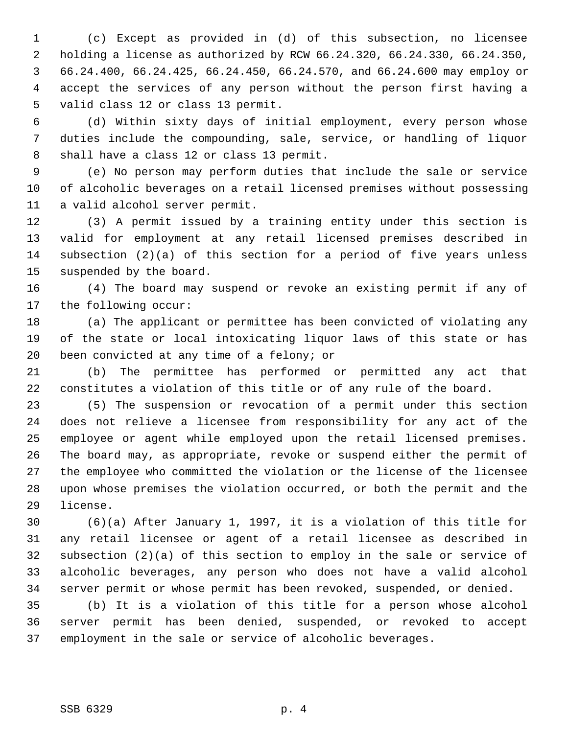1 (c) Except as provided in (d) of this subsection, no licensee 2 holding a license as authorized by RCW 66.24.320, 66.24.330, 66.24.350, 3 66.24.400, 66.24.425, 66.24.450, 66.24.570, and 66.24.600 may employ or 4 accept the services of any person without the person first having a 5 valid class 12 or class 13 permit.

 6 (d) Within sixty days of initial employment, every person whose 7 duties include the compounding, sale, service, or handling of liquor 8 shall have a class 12 or class 13 permit.

 9 (e) No person may perform duties that include the sale or service 10 of alcoholic beverages on a retail licensed premises without possessing 11 a valid alcohol server permit.

12 (3) A permit issued by a training entity under this section is 13 valid for employment at any retail licensed premises described in 14 subsection (2)(a) of this section for a period of five years unless 15 suspended by the board.

16 (4) The board may suspend or revoke an existing permit if any of 17 the following occur:

18 (a) The applicant or permittee has been convicted of violating any 19 of the state or local intoxicating liquor laws of this state or has 20 been convicted at any time of a felony; or

21 (b) The permittee has performed or permitted any act that 22 constitutes a violation of this title or of any rule of the board.

23 (5) The suspension or revocation of a permit under this section 24 does not relieve a licensee from responsibility for any act of the 25 employee or agent while employed upon the retail licensed premises. 26 The board may, as appropriate, revoke or suspend either the permit of 27 the employee who committed the violation or the license of the licensee 28 upon whose premises the violation occurred, or both the permit and the 29 license.

30 (6)(a) After January 1, 1997, it is a violation of this title for 31 any retail licensee or agent of a retail licensee as described in 32 subsection (2)(a) of this section to employ in the sale or service of 33 alcoholic beverages, any person who does not have a valid alcohol 34 server permit or whose permit has been revoked, suspended, or denied.

35 (b) It is a violation of this title for a person whose alcohol 36 server permit has been denied, suspended, or revoked to accept 37 employment in the sale or service of alcoholic beverages.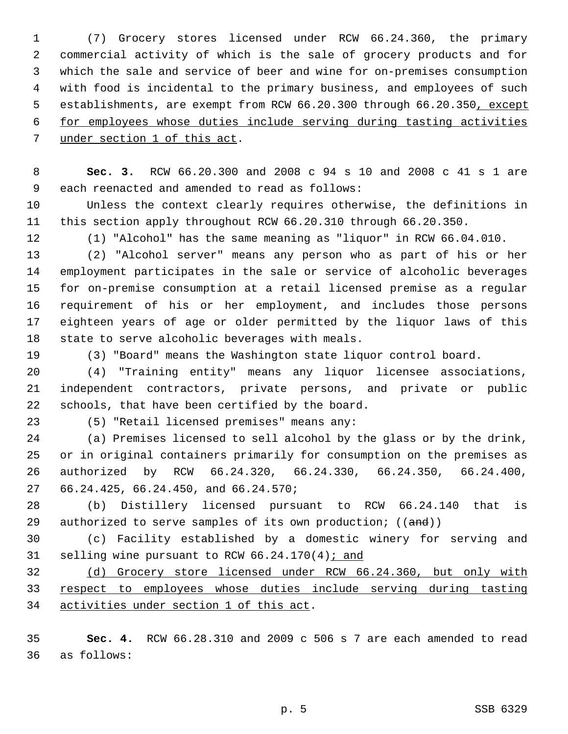1 (7) Grocery stores licensed under RCW 66.24.360, the primary 2 commercial activity of which is the sale of grocery products and for 3 which the sale and service of beer and wine for on-premises consumption 4 with food is incidental to the primary business, and employees of such 5 establishments, are exempt from RCW 66.20.300 through 66.20.350, except 6 for employees whose duties include serving during tasting activities 7 under section 1 of this act.

 8 **Sec. 3.** RCW 66.20.300 and 2008 c 94 s 10 and 2008 c 41 s 1 are 9 each reenacted and amended to read as follows:

10 Unless the context clearly requires otherwise, the definitions in 11 this section apply throughout RCW 66.20.310 through 66.20.350.

12 (1) "Alcohol" has the same meaning as "liquor" in RCW 66.04.010.

13 (2) "Alcohol server" means any person who as part of his or her 14 employment participates in the sale or service of alcoholic beverages 15 for on-premise consumption at a retail licensed premise as a regular 16 requirement of his or her employment, and includes those persons 17 eighteen years of age or older permitted by the liquor laws of this 18 state to serve alcoholic beverages with meals.

19 (3) "Board" means the Washington state liquor control board.

20 (4) "Training entity" means any liquor licensee associations, 21 independent contractors, private persons, and private or public 22 schools, that have been certified by the board.

23 (5) "Retail licensed premises" means any:

24 (a) Premises licensed to sell alcohol by the glass or by the drink, 25 or in original containers primarily for consumption on the premises as 26 authorized by RCW 66.24.320, 66.24.330, 66.24.350, 66.24.400, 27 66.24.425, 66.24.450, and 66.24.570;

28 (b) Distillery licensed pursuant to RCW 66.24.140 that is 29 authorized to serve samples of its own production;  $((and))$ 

30 (c) Facility established by a domestic winery for serving and 31 selling wine pursuant to RCW 66.24.170(4); and

32 (d) Grocery store licensed under RCW 66.24.360, but only with 33 respect to employees whose duties include serving during tasting 34 activities under section 1 of this act.

35 **Sec. 4.** RCW 66.28.310 and 2009 c 506 s 7 are each amended to read 36 as follows: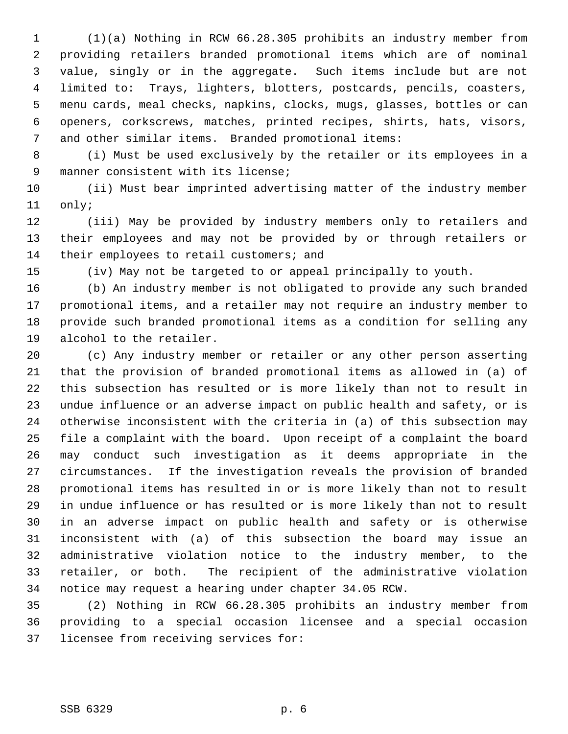1 (1)(a) Nothing in RCW 66.28.305 prohibits an industry member from 2 providing retailers branded promotional items which are of nominal 3 value, singly or in the aggregate. Such items include but are not 4 limited to: Trays, lighters, blotters, postcards, pencils, coasters, 5 menu cards, meal checks, napkins, clocks, mugs, glasses, bottles or can 6 openers, corkscrews, matches, printed recipes, shirts, hats, visors, 7 and other similar items. Branded promotional items:

 8 (i) Must be used exclusively by the retailer or its employees in a 9 manner consistent with its license;

10 (ii) Must bear imprinted advertising matter of the industry member 11 only;

12 (iii) May be provided by industry members only to retailers and 13 their employees and may not be provided by or through retailers or 14 their employees to retail customers; and

15 (iv) May not be targeted to or appeal principally to youth.

16 (b) An industry member is not obligated to provide any such branded 17 promotional items, and a retailer may not require an industry member to 18 provide such branded promotional items as a condition for selling any 19 alcohol to the retailer.

20 (c) Any industry member or retailer or any other person asserting 21 that the provision of branded promotional items as allowed in (a) of 22 this subsection has resulted or is more likely than not to result in 23 undue influence or an adverse impact on public health and safety, or is 24 otherwise inconsistent with the criteria in (a) of this subsection may 25 file a complaint with the board. Upon receipt of a complaint the board 26 may conduct such investigation as it deems appropriate in the 27 circumstances. If the investigation reveals the provision of branded 28 promotional items has resulted in or is more likely than not to result 29 in undue influence or has resulted or is more likely than not to result 30 in an adverse impact on public health and safety or is otherwise 31 inconsistent with (a) of this subsection the board may issue an 32 administrative violation notice to the industry member, to the 33 retailer, or both. The recipient of the administrative violation 34 notice may request a hearing under chapter 34.05 RCW.

35 (2) Nothing in RCW 66.28.305 prohibits an industry member from 36 providing to a special occasion licensee and a special occasion 37 licensee from receiving services for: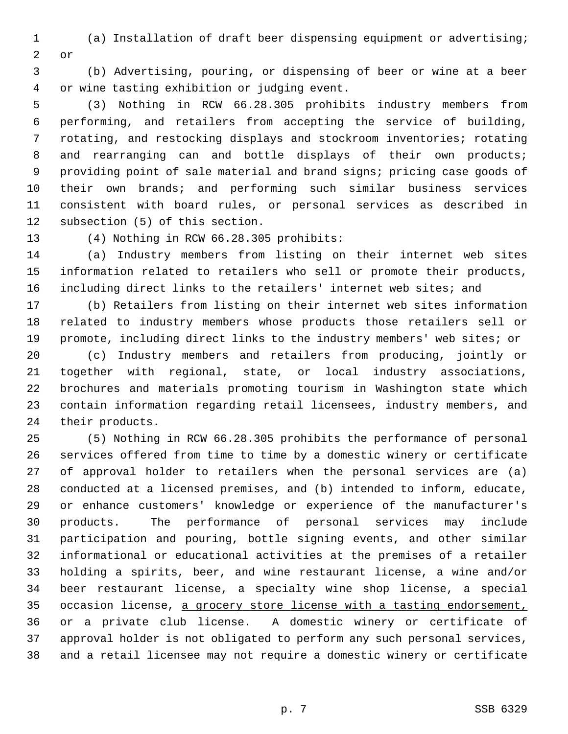1 (a) Installation of draft beer dispensing equipment or advertising; 2 or

 3 (b) Advertising, pouring, or dispensing of beer or wine at a beer 4 or wine tasting exhibition or judging event.

 5 (3) Nothing in RCW 66.28.305 prohibits industry members from 6 performing, and retailers from accepting the service of building, 7 rotating, and restocking displays and stockroom inventories; rotating 8 and rearranging can and bottle displays of their own products; 9 providing point of sale material and brand signs; pricing case goods of 10 their own brands; and performing such similar business services 11 consistent with board rules, or personal services as described in 12 subsection (5) of this section.

13 (4) Nothing in RCW 66.28.305 prohibits:

14 (a) Industry members from listing on their internet web sites 15 information related to retailers who sell or promote their products, 16 including direct links to the retailers' internet web sites; and

17 (b) Retailers from listing on their internet web sites information 18 related to industry members whose products those retailers sell or 19 promote, including direct links to the industry members' web sites; or 20 (c) Industry members and retailers from producing, jointly or 21 together with regional, state, or local industry associations, 22 brochures and materials promoting tourism in Washington state which 23 contain information regarding retail licensees, industry members, and 24 their products.

25 (5) Nothing in RCW 66.28.305 prohibits the performance of personal 26 services offered from time to time by a domestic winery or certificate 27 of approval holder to retailers when the personal services are (a) 28 conducted at a licensed premises, and (b) intended to inform, educate, 29 or enhance customers' knowledge or experience of the manufacturer's 30 products. The performance of personal services may include 31 participation and pouring, bottle signing events, and other similar 32 informational or educational activities at the premises of a retailer 33 holding a spirits, beer, and wine restaurant license, a wine and/or 34 beer restaurant license, a specialty wine shop license, a special 35 occasion license, a grocery store license with a tasting endorsement, 36 or a private club license. A domestic winery or certificate of 37 approval holder is not obligated to perform any such personal services, 38 and a retail licensee may not require a domestic winery or certificate